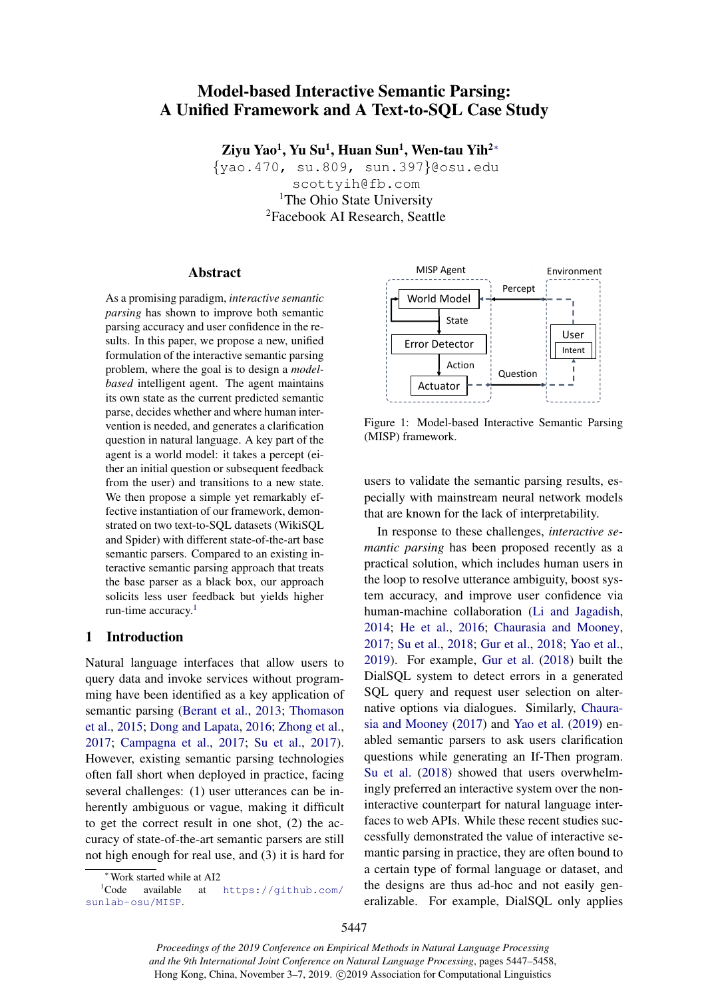# Model-based Interactive Semantic Parsing: A Unified Framework and A Text-to-SQL Case Study

Ziyu Yao $^1$ , Yu Su $^1$ , Huan Sun $^1$ , Wen-tau Yih $^{2*}$ 

{yao.470, su.809, sun.397}@osu.edu scottyih@fb.com <sup>1</sup>The Ohio State University <sup>2</sup>Facebook AI Research, Seattle

### Abstract

As a promising paradigm, *interactive semantic parsing* has shown to improve both semantic parsing accuracy and user confidence in the results. In this paper, we propose a new, unified formulation of the interactive semantic parsing problem, where the goal is to design a *modelbased* intelligent agent. The agent maintains its own state as the current predicted semantic parse, decides whether and where human intervention is needed, and generates a clarification question in natural language. A key part of the agent is a world model: it takes a percept (either an initial question or subsequent feedback from the user) and transitions to a new state. We then propose a simple yet remarkably effective instantiation of our framework, demonstrated on two text-to-SQL datasets (WikiSQL and Spider) with different state-of-the-art base semantic parsers. Compared to an existing interactive semantic parsing approach that treats the base parser as a black box, our approach solicits less user feedback but yields higher run-time accuracy.1

## 1 Introduction

Natural language interfaces that allow users to query data and invoke services without programming have been identified as a key application of semantic parsing (Berant et al., 2013; Thomason et al., 2015; Dong and Lapata, 2016; Zhong et al., 2017; Campagna et al., 2017; Su et al., 2017). However, existing semantic parsing technologies often fall short when deployed in practice, facing several challenges: (1) user utterances can be inherently ambiguous or vague, making it difficult to get the correct result in one shot, (2) the accuracy of state-of-the-art semantic parsers are still not high enough for real use, and (3) it is hard for



Figure 1: Model-based Interactive Semantic Parsing (MISP) framework.

users to validate the semantic parsing results, especially with mainstream neural network models that are known for the lack of interpretability.

In response to these challenges, *interactive semantic parsing* has been proposed recently as a practical solution, which includes human users in the loop to resolve utterance ambiguity, boost system accuracy, and improve user confidence via human-machine collaboration (Li and Jagadish, 2014; He et al., 2016; Chaurasia and Mooney, 2017; Su et al., 2018; Gur et al., 2018; Yao et al., 2019). For example, Gur et al. (2018) built the DialSQL system to detect errors in a generated SQL query and request user selection on alternative options via dialogues. Similarly, Chaurasia and Mooney (2017) and Yao et al. (2019) enabled semantic parsers to ask users clarification questions while generating an If-Then program. Su et al. (2018) showed that users overwhelmingly preferred an interactive system over the noninteractive counterpart for natural language interfaces to web APIs. While these recent studies successfully demonstrated the value of interactive semantic parsing in practice, they are often bound to a certain type of formal language or dataset, and the designs are thus ad-hoc and not easily generalizable. For example, DialSQL only applies

*Proceedings of the 2019 Conference on Empirical Methods in Natural Language Processing and the 9th International Joint Conference on Natural Language Processing*, pages 5447–5458, Hong Kong, China, November 3–7, 2019. ©2019 Association for Computational Linguistics

 $*$ Work started while at AI2<br><sup>1</sup>Code available at

at [https://github.com/](https://github.com/sunlab-osu/MISP) [sunlab-osu/MISP](https://github.com/sunlab-osu/MISP).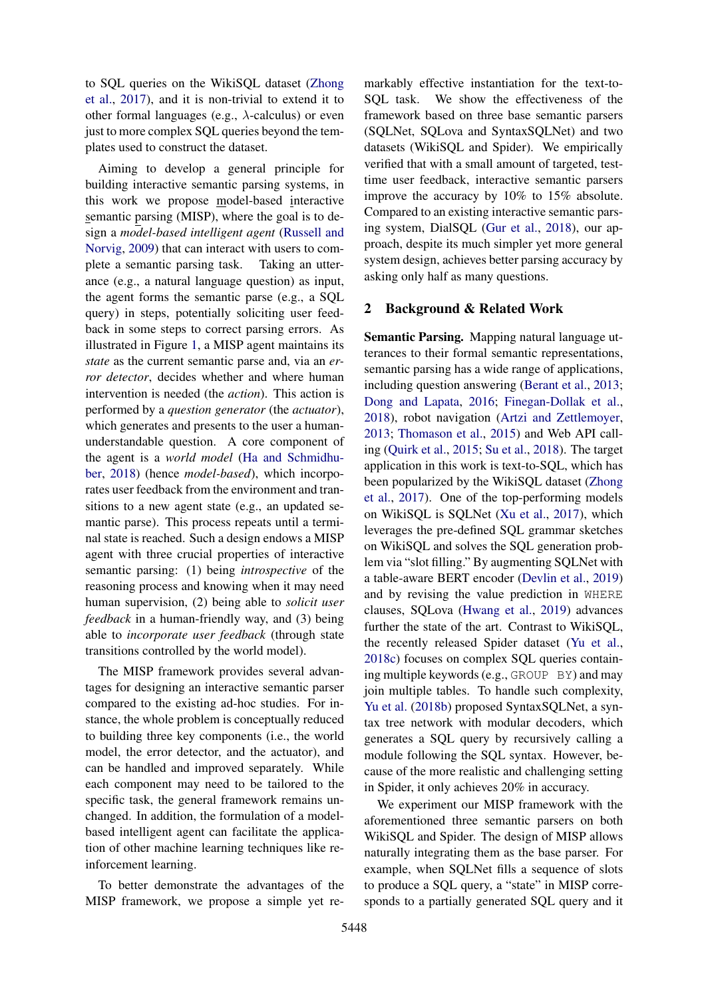to SQL queries on the WikiSQL dataset (Zhong et al., 2017), and it is non-trivial to extend it to other formal languages (e.g.,  $\lambda$ -calculus) or even just to more complex SQL queries beyond the templates used to construct the dataset.

Aiming to develop a general principle for building interactive semantic parsing systems, in this work we propose model-based interactive semantic parsing (MISP), where the goal is to design a *model-based intelligent agent* (Russell and Norvig, 2009) that can interact with users to complete a semantic parsing task. Taking an utterance (e.g., a natural language question) as input, the agent forms the semantic parse (e.g., a SQL query) in steps, potentially soliciting user feedback in some steps to correct parsing errors. As illustrated in Figure 1, a MISP agent maintains its *state* as the current semantic parse and, via an *error detector*, decides whether and where human intervention is needed (the *action*). This action is performed by a *question generator* (the *actuator*), which generates and presents to the user a humanunderstandable question. A core component of the agent is a *world model* (Ha and Schmidhuber, 2018) (hence *model-based*), which incorporates user feedback from the environment and transitions to a new agent state (e.g., an updated semantic parse). This process repeats until a terminal state is reached. Such a design endows a MISP agent with three crucial properties of interactive semantic parsing: (1) being *introspective* of the reasoning process and knowing when it may need human supervision, (2) being able to *solicit user feedback* in a human-friendly way, and (3) being able to *incorporate user feedback* (through state transitions controlled by the world model).

The MISP framework provides several advantages for designing an interactive semantic parser compared to the existing ad-hoc studies. For instance, the whole problem is conceptually reduced to building three key components (i.e., the world model, the error detector, and the actuator), and can be handled and improved separately. While each component may need to be tailored to the specific task, the general framework remains unchanged. In addition, the formulation of a modelbased intelligent agent can facilitate the application of other machine learning techniques like reinforcement learning.

To better demonstrate the advantages of the MISP framework, we propose a simple yet re-

markably effective instantiation for the text-to-SQL task. We show the effectiveness of the framework based on three base semantic parsers (SQLNet, SQLova and SyntaxSQLNet) and two datasets (WikiSQL and Spider). We empirically verified that with a small amount of targeted, testtime user feedback, interactive semantic parsers improve the accuracy by 10% to 15% absolute. Compared to an existing interactive semantic parsing system, DialSQL (Gur et al., 2018), our approach, despite its much simpler yet more general system design, achieves better parsing accuracy by asking only half as many questions.

## 2 Background & Related Work

Semantic Parsing. Mapping natural language utterances to their formal semantic representations, semantic parsing has a wide range of applications, including question answering (Berant et al., 2013; Dong and Lapata, 2016; Finegan-Dollak et al., 2018), robot navigation (Artzi and Zettlemoyer, 2013; Thomason et al., 2015) and Web API calling (Quirk et al., 2015; Su et al., 2018). The target application in this work is text-to-SQL, which has been popularized by the WikiSQL dataset (Zhong et al., 2017). One of the top-performing models on WikiSQL is SQLNet (Xu et al., 2017), which leverages the pre-defined SQL grammar sketches on WikiSQL and solves the SQL generation problem via "slot filling." By augmenting SQLNet with a table-aware BERT encoder (Devlin et al., 2019) and by revising the value prediction in WHERE clauses, SQLova (Hwang et al., 2019) advances further the state of the art. Contrast to WikiSQL, the recently released Spider dataset (Yu et al., 2018c) focuses on complex SQL queries containing multiple keywords (e.g., GROUP BY) and may join multiple tables. To handle such complexity, Yu et al. (2018b) proposed SyntaxSQLNet, a syntax tree network with modular decoders, which generates a SQL query by recursively calling a module following the SQL syntax. However, because of the more realistic and challenging setting in Spider, it only achieves 20% in accuracy.

We experiment our MISP framework with the aforementioned three semantic parsers on both WikiSQL and Spider. The design of MISP allows naturally integrating them as the base parser. For example, when SQLNet fills a sequence of slots to produce a SQL query, a "state" in MISP corresponds to a partially generated SQL query and it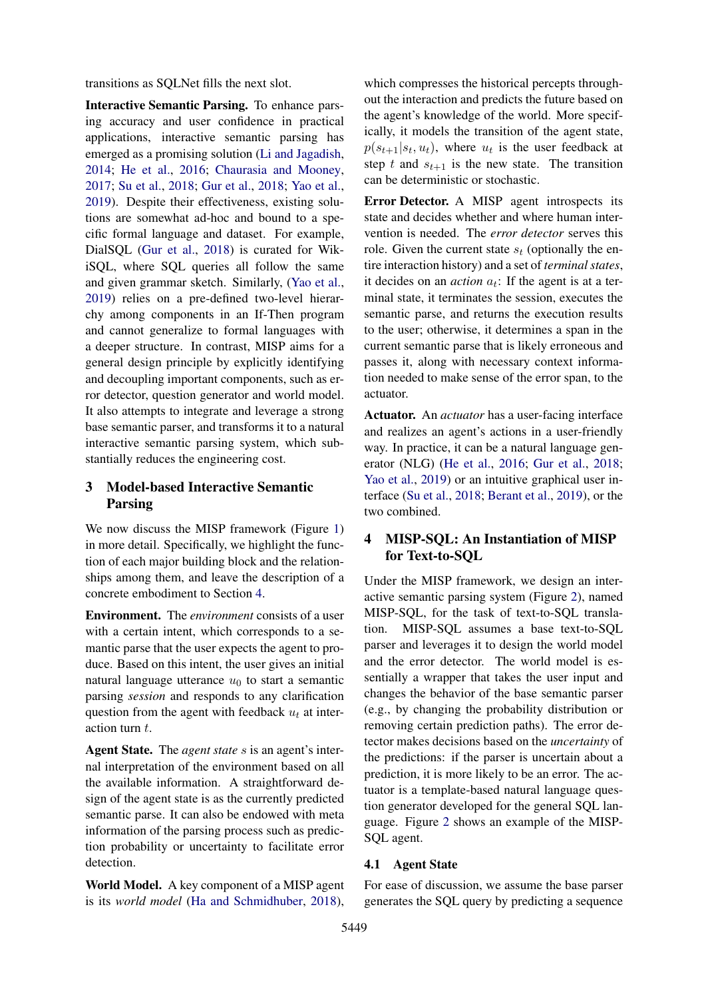transitions as SQLNet fills the next slot.

Interactive Semantic Parsing. To enhance parsing accuracy and user confidence in practical applications, interactive semantic parsing has emerged as a promising solution (Li and Jagadish, 2014; He et al., 2016; Chaurasia and Mooney, 2017; Su et al., 2018; Gur et al., 2018; Yao et al., 2019). Despite their effectiveness, existing solutions are somewhat ad-hoc and bound to a specific formal language and dataset. For example, DialSQL (Gur et al., 2018) is curated for WikiSQL, where SQL queries all follow the same and given grammar sketch. Similarly, (Yao et al., 2019) relies on a pre-defined two-level hierarchy among components in an If-Then program and cannot generalize to formal languages with a deeper structure. In contrast, MISP aims for a general design principle by explicitly identifying and decoupling important components, such as error detector, question generator and world model. It also attempts to integrate and leverage a strong base semantic parser, and transforms it to a natural interactive semantic parsing system, which substantially reduces the engineering cost.

## 3 Model-based Interactive Semantic Parsing

We now discuss the MISP framework (Figure 1) in more detail. Specifically, we highlight the function of each major building block and the relationships among them, and leave the description of a concrete embodiment to Section 4.

Environment. The *environment* consists of a user with a certain intent, which corresponds to a semantic parse that the user expects the agent to produce. Based on this intent, the user gives an initial natural language utterance  $u_0$  to start a semantic parsing *session* and responds to any clarification question from the agent with feedback  $u_t$  at interaction turn t.

Agent State. The *agent state* s is an agent's internal interpretation of the environment based on all the available information. A straightforward design of the agent state is as the currently predicted semantic parse. It can also be endowed with meta information of the parsing process such as prediction probability or uncertainty to facilitate error detection.

World Model. A key component of a MISP agent is its *world model* (Ha and Schmidhuber, 2018),

which compresses the historical percepts throughout the interaction and predicts the future based on the agent's knowledge of the world. More specifically, it models the transition of the agent state,  $p(s_{t+1}|s_t, u_t)$ , where  $u_t$  is the user feedback at step t and  $s_{t+1}$  is the new state. The transition can be deterministic or stochastic.

Error Detector. A MISP agent introspects its state and decides whether and where human intervention is needed. The *error detector* serves this role. Given the current state  $s_t$  (optionally the entire interaction history) and a set of *terminal states*, it decides on an *action*  $a_t$ : If the agent is at a terminal state, it terminates the session, executes the semantic parse, and returns the execution results to the user; otherwise, it determines a span in the current semantic parse that is likely erroneous and passes it, along with necessary context information needed to make sense of the error span, to the actuator.

Actuator. An *actuator* has a user-facing interface and realizes an agent's actions in a user-friendly way. In practice, it can be a natural language generator (NLG) (He et al., 2016; Gur et al., 2018; Yao et al., 2019) or an intuitive graphical user interface (Su et al., 2018; Berant et al., 2019), or the two combined.

## 4 MISP-SQL: An Instantiation of MISP for Text-to-SQL

Under the MISP framework, we design an interactive semantic parsing system (Figure 2), named MISP-SQL, for the task of text-to-SQL translation. MISP-SQL assumes a base text-to-SQL parser and leverages it to design the world model and the error detector. The world model is essentially a wrapper that takes the user input and changes the behavior of the base semantic parser (e.g., by changing the probability distribution or removing certain prediction paths). The error detector makes decisions based on the *uncertainty* of the predictions: if the parser is uncertain about a prediction, it is more likely to be an error. The actuator is a template-based natural language question generator developed for the general SQL language. Figure 2 shows an example of the MISP-SQL agent.

#### 4.1 Agent State

For ease of discussion, we assume the base parser generates the SQL query by predicting a sequence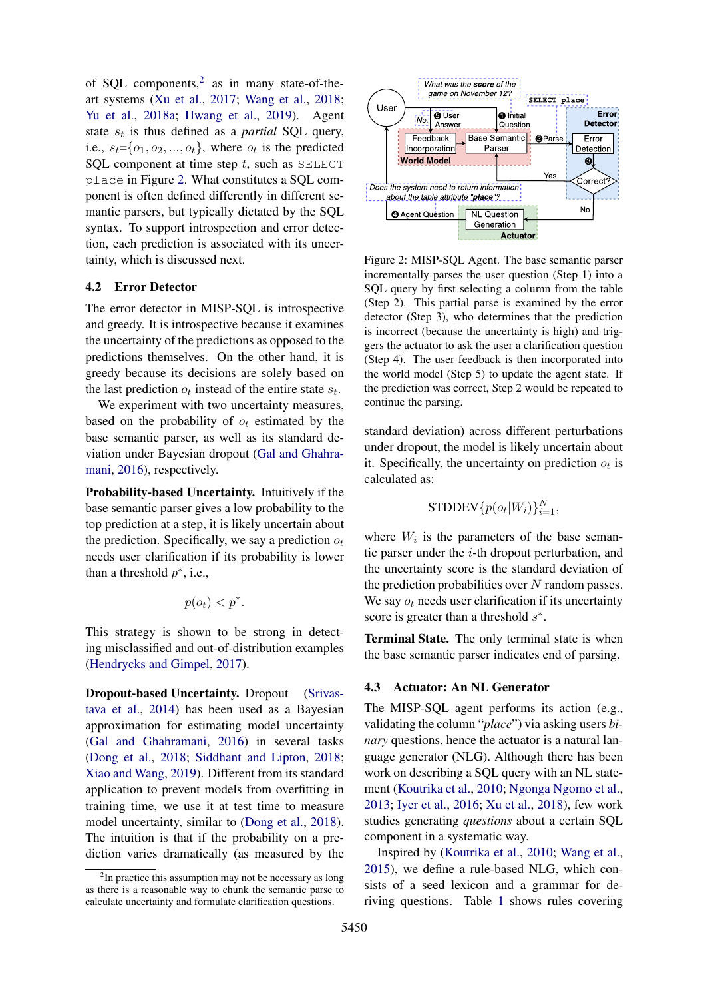of SQL components,<sup>2</sup> as in many state-of-theart systems (Xu et al., 2017; Wang et al., 2018; Yu et al., 2018a; Hwang et al., 2019). Agent state  $s_t$  is thus defined as a *partial* SQL query, i.e.,  $s_t = \{o_1, o_2, ..., o_t\}$ , where  $o_t$  is the predicted SQL component at time step  $t$ , such as SELECT place in Figure 2. What constitutes a SQL component is often defined differently in different semantic parsers, but typically dictated by the SQL syntax. To support introspection and error detection, each prediction is associated with its uncertainty, which is discussed next.

#### 4.2 Error Detector

The error detector in MISP-SQL is introspective and greedy. It is introspective because it examines the uncertainty of the predictions as opposed to the predictions themselves. On the other hand, it is greedy because its decisions are solely based on the last prediction  $o_t$  instead of the entire state  $s_t$ .

We experiment with two uncertainty measures, based on the probability of  $o_t$  estimated by the base semantic parser, as well as its standard deviation under Bayesian dropout (Gal and Ghahramani, 2016), respectively.

Probability-based Uncertainty. Intuitively if the base semantic parser gives a low probability to the top prediction at a step, it is likely uncertain about the prediction. Specifically, we say a prediction  $o_t$ needs user clarification if its probability is lower than a threshold  $p^*$ , i.e.,

$$
p(o_t) < p^*.
$$

This strategy is shown to be strong in detecting misclassified and out-of-distribution examples (Hendrycks and Gimpel, 2017).

Dropout-based Uncertainty. Dropout (Srivastava et al., 2014) has been used as a Bayesian approximation for estimating model uncertainty (Gal and Ghahramani, 2016) in several tasks (Dong et al., 2018; Siddhant and Lipton, 2018; Xiao and Wang, 2019). Different from its standard application to prevent models from overfitting in training time, we use it at test time to measure model uncertainty, similar to (Dong et al., 2018). The intuition is that if the probability on a prediction varies dramatically (as measured by the



Figure 2: MISP-SQL Agent. The base semantic parser incrementally parses the user question (Step 1) into a SQL query by first selecting a column from the table (Step 2). This partial parse is examined by the error detector (Step 3), who determines that the prediction is incorrect (because the uncertainty is high) and triggers the actuator to ask the user a clarification question (Step 4). The user feedback is then incorporated into the world model (Step 5) to update the agent state. If the prediction was correct, Step 2 would be repeated to continue the parsing.

standard deviation) across different perturbations under dropout, the model is likely uncertain about it. Specifically, the uncertainty on prediction  $o_t$  is calculated as:

$$
\text{STDDEV}\{p(o_t|W_i)\}_{i=1}^N,
$$

where  $W_i$  is the parameters of the base semantic parser under the  $i$ -th dropout perturbation, and the uncertainty score is the standard deviation of the prediction probabilities over  $N$  random passes. We say  $o_t$  needs user clarification if its uncertainty score is greater than a threshold  $s^*$ .

Terminal State. The only terminal state is when the base semantic parser indicates end of parsing.

#### 4.3 Actuator: An NL Generator

The MISP-SQL agent performs its action (e.g., validating the column "*place*") via asking users *binary* questions, hence the actuator is a natural language generator (NLG). Although there has been work on describing a SQL query with an NL statement (Koutrika et al., 2010; Ngonga Ngomo et al., 2013; Iyer et al., 2016; Xu et al., 2018), few work studies generating *questions* about a certain SQL component in a systematic way.

Inspired by (Koutrika et al., 2010; Wang et al., 2015), we define a rule-based NLG, which consists of a seed lexicon and a grammar for deriving questions. Table 1 shows rules covering

<sup>&</sup>lt;sup>2</sup>In practice this assumption may not be necessary as long as there is a reasonable way to chunk the semantic parse to calculate uncertainty and formulate clarification questions.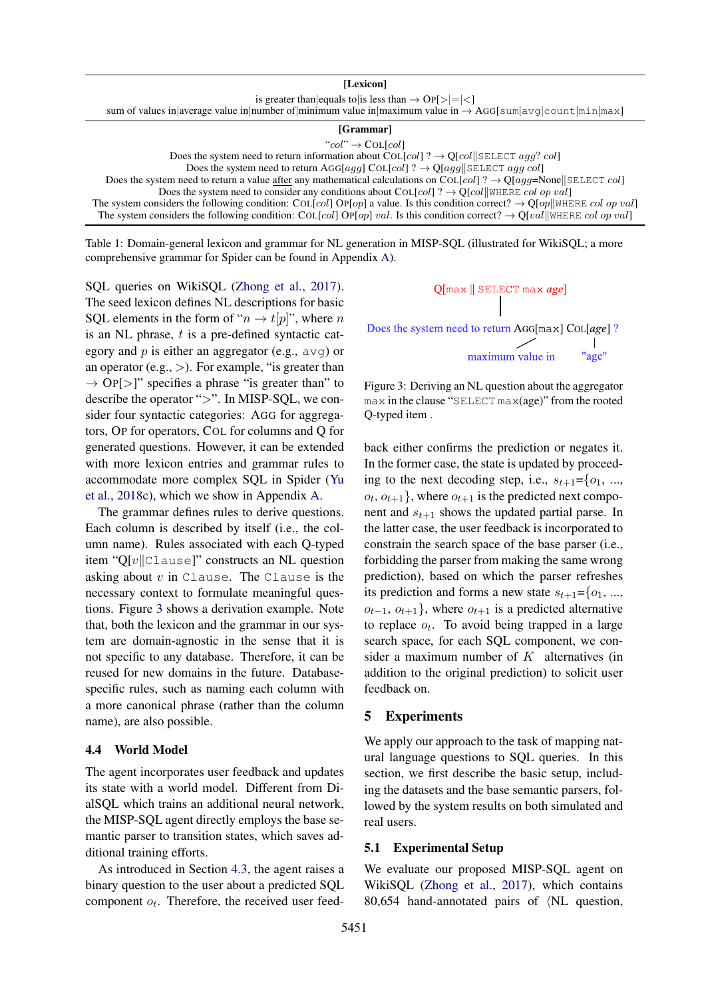| [Lexicon]                                                                                                               |
|-------------------------------------------------------------------------------------------------------------------------|
| is greater than equals to is less than $\rightarrow$ OP[> = <]                                                          |
| sum of values in average value in number of minimum value in maximum value in $\rightarrow$ AGG[sum avg count  min max] |
| [Grammar]                                                                                                               |
| " $col$ " $\rightarrow$ COL[col]                                                                                        |
| Does the system need to return information about COL[col] ? $\rightarrow$ Q[col] SELECT agg? col]                       |
| Does the system need to return AGG[aqq] COL[col] ? $\rightarrow$ Q[aqq  SELECT aqq col]                                 |

Does the system need to return a value after any mathematical calculations on COL[col] ?  $\rightarrow$  Q[agg=None||SELECT col] Does the system need to consider any conditions about COL[col] ?  $\rightarrow$  Q[col||WHERE col op val] The system considers the following condition: COL[col] OP[op] a value. Is this condition correct?  $\rightarrow Q[op]$ WHERE col op val] The system considers the following condition: COL[col] OP[op] val. Is this condition correct?  $\rightarrow Q[val]$ WHERE col op val]

Table 1: Domain-general lexicon and grammar for NL generation in MISP-SQL (illustrated for WikiSQL; a more comprehensive grammar for Spider can be found in Appendix A).

SQL queries on WikiSQL (Zhong et al., 2017). The seed lexicon defines NL descriptions for basic SQL elements in the form of " $n \rightarrow t[p]$ ", where n is an NL phrase,  $t$  is a pre-defined syntactic category and  $p$  is either an aggregator (e.g.,  $\alpha v q$ ) or an operator (e.g.,  $>$ ). For example, "is greater than  $\rightarrow$  OP[>]" specifies a phrase "is greater than" to describe the operator ">". In MISP-SQL, we consider four syntactic categories: AGG for aggregators, OP for operators, COL for columns and Q for generated questions. However, it can be extended with more lexicon entries and grammar rules to accommodate more complex SQL in Spider (Yu et al., 2018c), which we show in Appendix A.

The grammar defines rules to derive questions. Each column is described by itself (i.e., the column name). Rules associated with each Q-typed item "Q[v $||C$ Lause]" constructs an NL question asking about  $v$  in Clause. The Clause is the necessary context to formulate meaningful questions. Figure 3 shows a derivation example. Note that, both the lexicon and the grammar in our system are domain-agnostic in the sense that it is not specific to any database. Therefore, it can be reused for new domains in the future. Databasespecific rules, such as naming each column with a more canonical phrase (rather than the column name), are also possible.

#### 4.4 World Model

The agent incorporates user feedback and updates its state with a world model. Different from DialSQL which trains an additional neural network, the MISP-SQL agent directly employs the base semantic parser to transition states, which saves additional training efforts.

As introduced in Section 4.3, the agent raises a binary question to the user about a predicted SQL component  $o_t$ . Therefore, the received user feed-



Figure 3: Deriving an NL question about the aggregator max in the clause "SELECT max(age)" from the rooted Q-typed item .

back either confirms the prediction or negates it. In the former case, the state is updated by proceeding to the next decoding step, i.e.,  $s_{t+1} = \{o_1, ..., o_n\}$  $o_t, o_{t+1}$ , where  $o_{t+1}$  is the predicted next component and  $s_{t+1}$  shows the updated partial parse. In the latter case, the user feedback is incorporated to constrain the search space of the base parser (i.e., forbidding the parser from making the same wrong prediction), based on which the parser refreshes its prediction and forms a new state  $s_{t+1} = \{o_1, ...,$  $o_{t-1}, o_{t+1}$ }, where  $o_{t+1}$  is a predicted alternative to replace  $o_t$ . To avoid being trapped in a large search space, for each SQL component, we consider a maximum number of  $K$  alternatives (in addition to the original prediction) to solicit user feedback on.

### 5 Experiments

We apply our approach to the task of mapping natural language questions to SQL queries. In this section, we first describe the basic setup, including the datasets and the base semantic parsers, followed by the system results on both simulated and real users.

#### 5.1 Experimental Setup

We evaluate our proposed MISP-SQL agent on WikiSQL (Zhong et al., 2017), which contains 80,654 hand-annotated pairs of  $\langle NL \rangle$  question,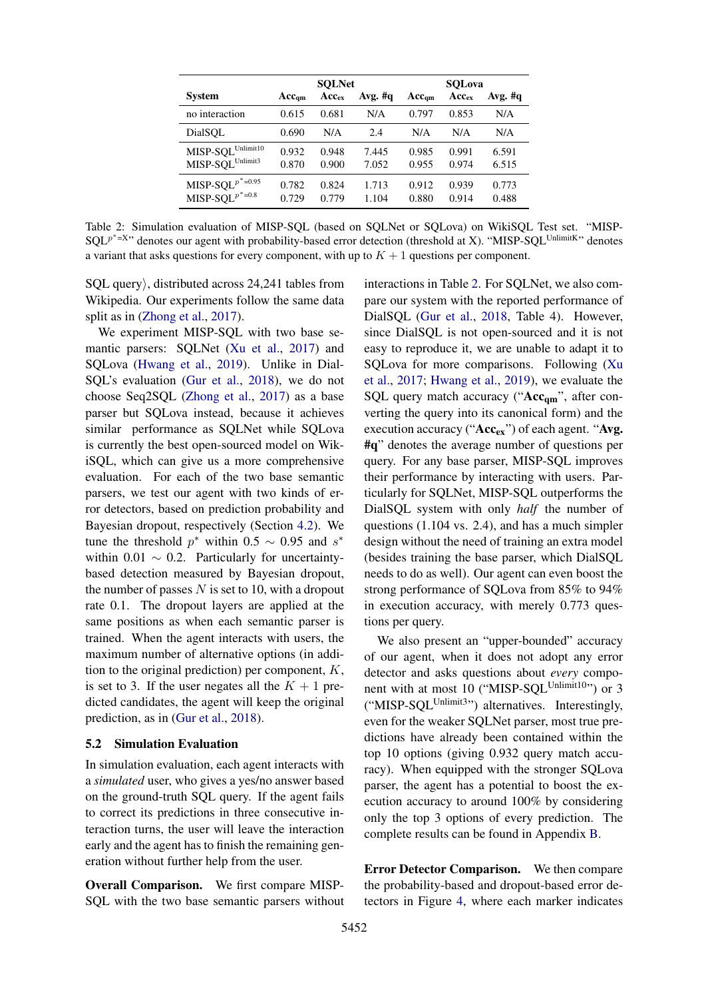|                                                               | <b>SOLNet</b>     |                |                | SOLova            |                |                |
|---------------------------------------------------------------|-------------------|----------------|----------------|-------------------|----------------|----------------|
| <b>System</b>                                                 | $Acc_{\text{am}}$ | $Acc_{ex}$     | Avg. $#q$      | $Acc_{\text{cm}}$ | $Acc_{ex}$     | Avg. $#q$      |
| no interaction                                                | 0.615             | 0.681          | N/A            | 0.797             | 0.853          | N/A            |
| DialSOL                                                       | 0.690             | N/A            | 2.4            | N/A               | N/A            | N/A            |
| $MISP-SQL^{Unlimit10}$<br>$\text{MISP-SQL}^{\text{Unlimit3}}$ | 0.932<br>0.870    | 0.948<br>0.900 | 7.445<br>7.052 | 0.985<br>0.955    | 0.991<br>0.974 | 6.591<br>6.515 |
| MISP-SQL $p^*$ =0.95<br>MISP-SQL $p^*$ =0.8                   | 0.782<br>0.729    | 0.824<br>0.779 | 1.713<br>1.104 | 0.912<br>0.880    | 0.939<br>0.914 | 0.773<br>0.488 |

Table 2: Simulation evaluation of MISP-SQL (based on SQLNet or SQLova) on WikiSQL Test set. "MISP-SQL<sup>p\*=X</sup>" denotes our agent with probability-based error detection (threshold at X). "MISP-SQL<sup>UnlimitK</sup>" denotes a variant that asks questions for every component, with up to  $K + 1$  questions per component.

 $SQL$  query $\rangle$ , distributed across 24,241 tables from Wikipedia. Our experiments follow the same data split as in (Zhong et al., 2017).

We experiment MISP-SQL with two base semantic parsers: SQLNet (Xu et al., 2017) and SQLova (Hwang et al., 2019). Unlike in Dial-SQL's evaluation (Gur et al., 2018), we do not choose Seq2SQL (Zhong et al., 2017) as a base parser but SQLova instead, because it achieves similar performance as SQLNet while SQLova is currently the best open-sourced model on WikiSQL, which can give us a more comprehensive evaluation. For each of the two base semantic parsers, we test our agent with two kinds of error detectors, based on prediction probability and Bayesian dropout, respectively (Section 4.2). We tune the threshold  $p^*$  within 0.5  $\sim$  0.95 and  $s^*$ within 0.01  $\sim$  0.2. Particularly for uncertaintybased detection measured by Bayesian dropout, the number of passes  $N$  is set to 10, with a dropout rate 0.1. The dropout layers are applied at the same positions as when each semantic parser is trained. When the agent interacts with users, the maximum number of alternative options (in addition to the original prediction) per component,  $K$ , is set to 3. If the user negates all the  $K + 1$  predicted candidates, the agent will keep the original prediction, as in (Gur et al., 2018).

#### 5.2 Simulation Evaluation

In simulation evaluation, each agent interacts with a *simulated* user, who gives a yes/no answer based on the ground-truth SQL query. If the agent fails to correct its predictions in three consecutive interaction turns, the user will leave the interaction early and the agent has to finish the remaining generation without further help from the user.

Overall Comparison. We first compare MISP-SQL with the two base semantic parsers without

interactions in Table 2. For SQLNet, we also compare our system with the reported performance of DialSQL (Gur et al., 2018, Table 4). However, since DialSQL is not open-sourced and it is not easy to reproduce it, we are unable to adapt it to SQLova for more comparisons. Following (Xu et al., 2017; Hwang et al., 2019), we evaluate the SQL query match accuracy (" $Acc_{qm}$ ", after converting the query into its canonical form) and the execution accuracy (" $Acc_{ex}$ ") of each agent. "Avg. #q" denotes the average number of questions per query. For any base parser, MISP-SQL improves their performance by interacting with users. Particularly for SQLNet, MISP-SQL outperforms the DialSQL system with only *half* the number of questions (1.104 vs. 2.4), and has a much simpler design without the need of training an extra model (besides training the base parser, which DialSQL needs to do as well). Our agent can even boost the strong performance of SQLova from 85% to 94% in execution accuracy, with merely 0.773 questions per query.

We also present an "upper-bounded" accuracy of our agent, when it does not adopt any error detector and asks questions about *every* component with at most 10 ("MISP-SOL<sup>Unlimit10</sup>") or 3 ("MISP-SQL<sup>Unlimit3</sup>") alternatives. Interestingly, even for the weaker SQLNet parser, most true predictions have already been contained within the top 10 options (giving 0.932 query match accuracy). When equipped with the stronger SQLova parser, the agent has a potential to boost the execution accuracy to around 100% by considering only the top 3 options of every prediction. The complete results can be found in Appendix B.

Error Detector Comparison. We then compare the probability-based and dropout-based error detectors in Figure 4, where each marker indicates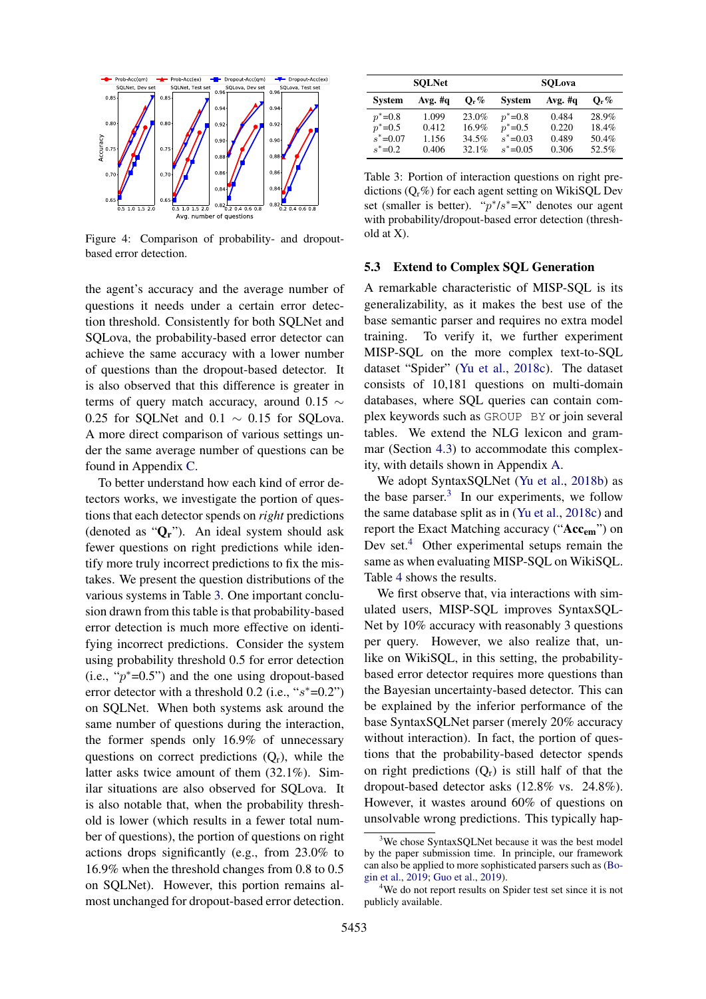

Figure 4: Comparison of probability- and dropoutbased error detection.

the agent's accuracy and the average number of questions it needs under a certain error detection threshold. Consistently for both SQLNet and SQLova, the probability-based error detector can achieve the same accuracy with a lower number of questions than the dropout-based detector. It is also observed that this difference is greater in terms of query match accuracy, around 0.15  $\sim$ 0.25 for SQLNet and 0.1  $\sim$  0.15 for SQLova. A more direct comparison of various settings under the same average number of questions can be found in Appendix C.

To better understand how each kind of error detectors works, we investigate the portion of questions that each detector spends on *right* predictions (denoted as "Qr"). An ideal system should ask fewer questions on right predictions while identify more truly incorrect predictions to fix the mistakes. We present the question distributions of the various systems in Table 3. One important conclusion drawn from this table is that probability-based error detection is much more effective on identifying incorrect predictions. Consider the system using probability threshold 0.5 for error detection  $(i.e., "p*=0.5")$  and the one using dropout-based error detector with a threshold  $0.2$  (i.e., " $s^*$ =0.2") on SQLNet. When both systems ask around the same number of questions during the interaction, the former spends only 16.9% of unnecessary questions on correct predictions  $(Q_r)$ , while the latter asks twice amount of them (32.1%). Similar situations are also observed for SQLova. It is also notable that, when the probability threshold is lower (which results in a fewer total number of questions), the portion of questions on right actions drops significantly (e.g., from 23.0% to 16.9% when the threshold changes from 0.8 to 0.5 on SQLNet). However, this portion remains almost unchanged for dropout-based error detection.

| <b>SOLNet</b> |           |                    | <b>SOLova</b> |         |                    |  |
|---------------|-----------|--------------------|---------------|---------|--------------------|--|
| <b>System</b> | Avg. $#q$ | $\mathbf{O}_{r}\%$ | <b>System</b> | Avg. #q | $\mathbf{O}_{r}\%$ |  |
| $p^* = 0.8$   | 1.099     | 23.0%              | $p^* = 0.8$   | 0.484   | 28.9%              |  |
| $p^* = 0.5$   | 0.412     | 16.9%              | $p^* = 0.5$   | 0.220   | 18.4%              |  |
| $s^* = 0.07$  | 1.156     | 34.5%              | $s^* = 0.03$  | 0.489   | 50.4%              |  |
| $s^* = 0.2$   | 0.406     | 32.1%              | $s^* = 0.05$  | 0.306   | 52.5%              |  |

Table 3: Portion of interaction questions on right predictions  $(Q_r \%)$  for each agent setting on WikiSQL Dev set (smaller is better). " $p^*/s^* = X$ " denotes our agent with probability/dropout-based error detection (threshold at X).

### 5.3 Extend to Complex SQL Generation

A remarkable characteristic of MISP-SQL is its generalizability, as it makes the best use of the base semantic parser and requires no extra model training. To verify it, we further experiment MISP-SQL on the more complex text-to-SQL dataset "Spider" (Yu et al., 2018c). The dataset consists of 10,181 questions on multi-domain databases, where SQL queries can contain complex keywords such as GROUP BY or join several tables. We extend the NLG lexicon and grammar (Section 4.3) to accommodate this complexity, with details shown in Appendix A.

We adopt SyntaxSQLNet (Yu et al., 2018b) as the base parser. $3$  In our experiments, we follow the same database split as in (Yu et al., 2018c) and report the Exact Matching accuracy ("Acc<sub>em</sub>") on Dev set.<sup>4</sup> Other experimental setups remain the same as when evaluating MISP-SQL on WikiSQL. Table 4 shows the results.

We first observe that, via interactions with simulated users, MISP-SQL improves SyntaxSQL-Net by 10% accuracy with reasonably 3 questions per query. However, we also realize that, unlike on WikiSQL, in this setting, the probabilitybased error detector requires more questions than the Bayesian uncertainty-based detector. This can be explained by the inferior performance of the base SyntaxSQLNet parser (merely 20% accuracy without interaction). In fact, the portion of questions that the probability-based detector spends on right predictions  $(Q_r)$  is still half of that the dropout-based detector asks (12.8% vs. 24.8%). However, it wastes around 60% of questions on unsolvable wrong predictions. This typically hap-

<sup>&</sup>lt;sup>3</sup>We chose SyntaxSQLNet because it was the best model by the paper submission time. In principle, our framework can also be applied to more sophisticated parsers such as (Bogin et al., 2019; Guo et al., 2019).

<sup>&</sup>lt;sup>4</sup>We do not report results on Spider test set since it is not publicly available.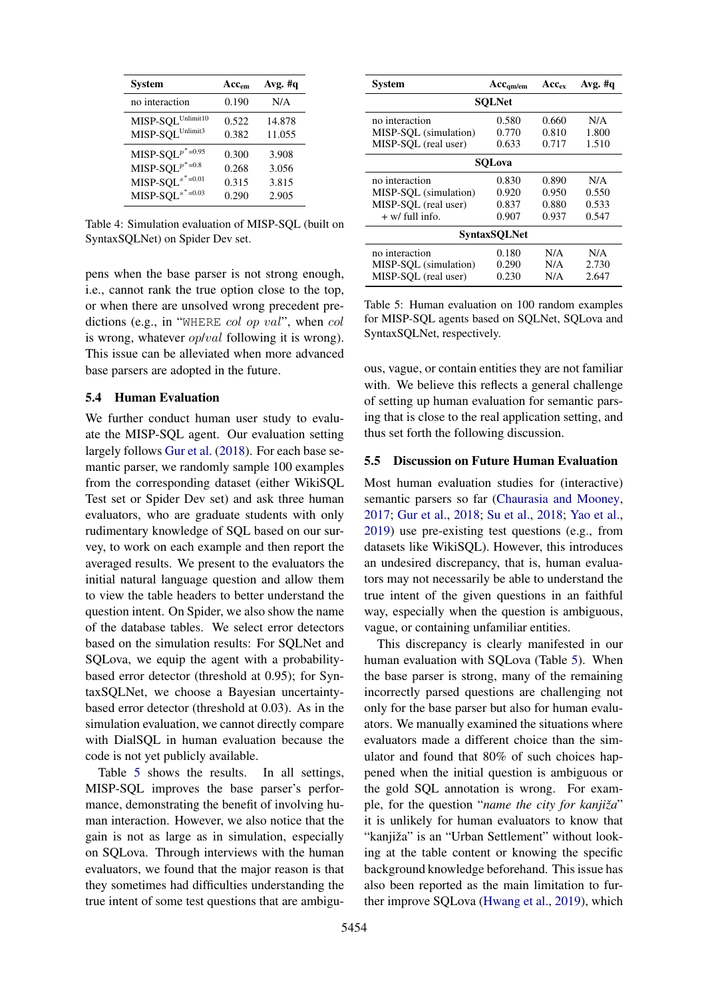| <b>System</b>                             | Acc <sub>em</sub> | Avg. $#q$ |
|-------------------------------------------|-------------------|-----------|
| no interaction                            | 0.190             | N/A       |
| MISP-SQL Unlimit10                        | 0.522             | 14.878    |
| MISP-SQL Unlimit3                         | 0.382             | 11.055    |
| MISP-SQL $p^*$ =0.95                      | 0.300             | 3.908     |
| MISP-SQL $p^*$ =0.8                       | 0.268             | 3.056     |
| MISP-SQL <sup><math>s^*</math>=0.01</sup> | 0.315             | 3.815     |
| MISP-SQL <sup><math>s^*</math>=0.03</sup> | 0.290             | 2.905     |

Table 4: Simulation evaluation of MISP-SQL (built on SyntaxSQLNet) on Spider Dev set.

pens when the base parser is not strong enough, i.e., cannot rank the true option close to the top, or when there are unsolved wrong precedent predictions (e.g., in "WHERE col op val", when col is wrong, whatever *op/val* following it is wrong). This issue can be alleviated when more advanced base parsers are adopted in the future.

## 5.4 Human Evaluation

We further conduct human user study to evaluate the MISP-SQL agent. Our evaluation setting largely follows Gur et al. (2018). For each base semantic parser, we randomly sample 100 examples from the corresponding dataset (either WikiSQL Test set or Spider Dev set) and ask three human evaluators, who are graduate students with only rudimentary knowledge of SQL based on our survey, to work on each example and then report the averaged results. We present to the evaluators the initial natural language question and allow them to view the table headers to better understand the question intent. On Spider, we also show the name of the database tables. We select error detectors based on the simulation results: For SQLNet and SQLova, we equip the agent with a probabilitybased error detector (threshold at 0.95); for SyntaxSQLNet, we choose a Bayesian uncertaintybased error detector (threshold at 0.03). As in the simulation evaluation, we cannot directly compare with DialSQL in human evaluation because the code is not yet publicly available.

Table 5 shows the results. In all settings, MISP-SQL improves the base parser's performance, demonstrating the benefit of involving human interaction. However, we also notice that the gain is not as large as in simulation, especially on SQLova. Through interviews with the human evaluators, we found that the major reason is that they sometimes had difficulties understanding the true intent of some test questions that are ambigu-

| System                | $Acc_{qm/cm}$ | $Acc_{ex}$ | Avg. $\#q$ |  |  |  |
|-----------------------|---------------|------------|------------|--|--|--|
| <b>SQLNet</b>         |               |            |            |  |  |  |
| no interaction        | 0.580         | 0.660      | N/A        |  |  |  |
| MISP-SOL (simulation) | 0.770         | 0.810      | 1.800      |  |  |  |
| MISP-SQL (real user)  | 0.633         | 0.717      | 1.510      |  |  |  |
| SOLova                |               |            |            |  |  |  |
| no interaction        | 0.830         | 0.890      | N/A        |  |  |  |
| MISP-SOL (simulation) | 0.920         | 0.950      | 0.550      |  |  |  |
| MISP-SOL (real user)  | 0.837         | 0.880      | 0.533      |  |  |  |
| $+$ w/ full info.     | 0.907         | 0.937      | 0.547      |  |  |  |
| <b>SyntaxSQLNet</b>   |               |            |            |  |  |  |
| no interaction        | 0.180         | N/A        | N/A        |  |  |  |
| MISP-SOL (simulation) | 0.290         | N/A        | 2.730      |  |  |  |
| MISP-SQL (real user)  | 0.230         | N/A        | 2.647      |  |  |  |

Table 5: Human evaluation on 100 random examples for MISP-SQL agents based on SQLNet, SQLova and SyntaxSQLNet, respectively.

ous, vague, or contain entities they are not familiar with. We believe this reflects a general challenge of setting up human evaluation for semantic parsing that is close to the real application setting, and thus set forth the following discussion.

### 5.5 Discussion on Future Human Evaluation

Most human evaluation studies for (interactive) semantic parsers so far (Chaurasia and Mooney, 2017; Gur et al., 2018; Su et al., 2018; Yao et al., 2019) use pre-existing test questions (e.g., from datasets like WikiSQL). However, this introduces an undesired discrepancy, that is, human evaluators may not necessarily be able to understand the true intent of the given questions in an faithful way, especially when the question is ambiguous, vague, or containing unfamiliar entities.

This discrepancy is clearly manifested in our human evaluation with SQLova (Table 5). When the base parser is strong, many of the remaining incorrectly parsed questions are challenging not only for the base parser but also for human evaluators. We manually examined the situations where evaluators made a different choice than the simulator and found that 80% of such choices happened when the initial question is ambiguous or the gold SQL annotation is wrong. For example, for the question "*name the city for kanjizaˇ* " it is unlikely for human evaluators to know that "kanjiža" is an "Urban Settlement" without looking at the table content or knowing the specific background knowledge beforehand. This issue has also been reported as the main limitation to further improve SQLova (Hwang et al., 2019), which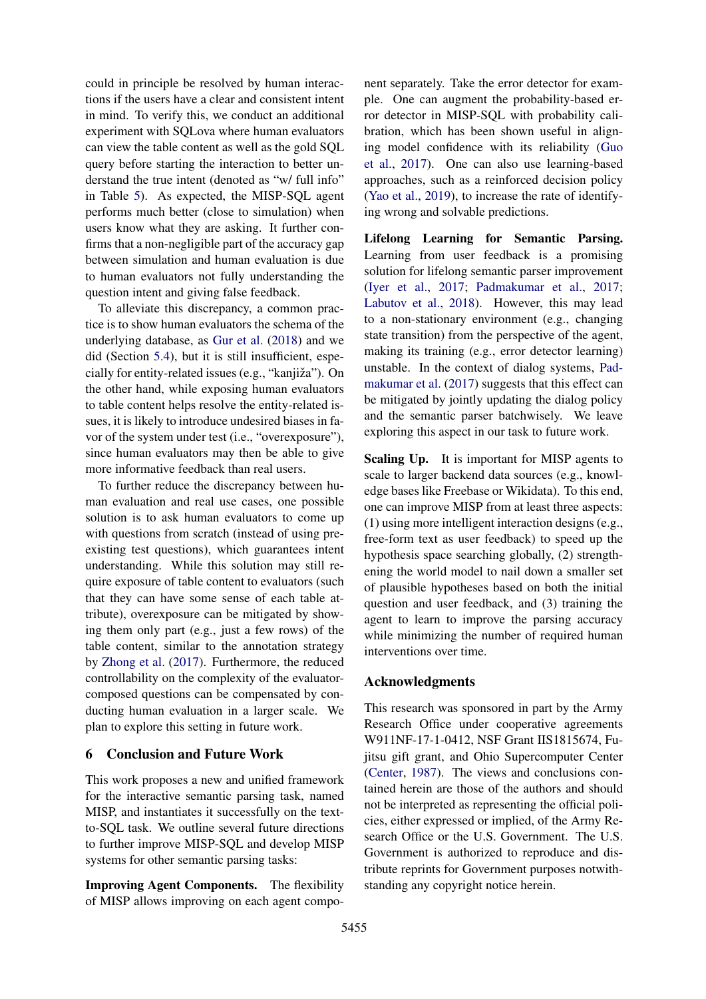could in principle be resolved by human interactions if the users have a clear and consistent intent in mind. To verify this, we conduct an additional experiment with SQLova where human evaluators can view the table content as well as the gold SQL query before starting the interaction to better understand the true intent (denoted as "w/ full info" in Table 5). As expected, the MISP-SQL agent performs much better (close to simulation) when users know what they are asking. It further confirms that a non-negligible part of the accuracy gap between simulation and human evaluation is due to human evaluators not fully understanding the question intent and giving false feedback.

To alleviate this discrepancy, a common practice is to show human evaluators the schema of the underlying database, as Gur et al. (2018) and we did (Section 5.4), but it is still insufficient, especially for entity-related issues (e.g., "kanjiža"). On the other hand, while exposing human evaluators to table content helps resolve the entity-related issues, it is likely to introduce undesired biases in favor of the system under test (i.e., "overexposure"), since human evaluators may then be able to give more informative feedback than real users.

To further reduce the discrepancy between human evaluation and real use cases, one possible solution is to ask human evaluators to come up with questions from scratch (instead of using preexisting test questions), which guarantees intent understanding. While this solution may still require exposure of table content to evaluators (such that they can have some sense of each table attribute), overexposure can be mitigated by showing them only part (e.g., just a few rows) of the table content, similar to the annotation strategy by Zhong et al. (2017). Furthermore, the reduced controllability on the complexity of the evaluatorcomposed questions can be compensated by conducting human evaluation in a larger scale. We plan to explore this setting in future work.

## 6 Conclusion and Future Work

This work proposes a new and unified framework for the interactive semantic parsing task, named MISP, and instantiates it successfully on the textto-SQL task. We outline several future directions to further improve MISP-SQL and develop MISP systems for other semantic parsing tasks:

Improving Agent Components. The flexibility of MISP allows improving on each agent compo-

nent separately. Take the error detector for example. One can augment the probability-based error detector in MISP-SQL with probability calibration, which has been shown useful in aligning model confidence with its reliability (Guo et al., 2017). One can also use learning-based approaches, such as a reinforced decision policy (Yao et al., 2019), to increase the rate of identifying wrong and solvable predictions.

Lifelong Learning for Semantic Parsing. Learning from user feedback is a promising solution for lifelong semantic parser improvement (Iyer et al., 2017; Padmakumar et al., 2017; Labutov et al., 2018). However, this may lead to a non-stationary environment (e.g., changing state transition) from the perspective of the agent, making its training (e.g., error detector learning) unstable. In the context of dialog systems, Padmakumar et al. (2017) suggests that this effect can be mitigated by jointly updating the dialog policy and the semantic parser batchwisely. We leave exploring this aspect in our task to future work.

Scaling Up. It is important for MISP agents to scale to larger backend data sources (e.g., knowledge bases like Freebase or Wikidata). To this end, one can improve MISP from at least three aspects: (1) using more intelligent interaction designs (e.g., free-form text as user feedback) to speed up the hypothesis space searching globally, (2) strengthening the world model to nail down a smaller set of plausible hypotheses based on both the initial question and user feedback, and (3) training the agent to learn to improve the parsing accuracy while minimizing the number of required human interventions over time.

## Acknowledgments

This research was sponsored in part by the Army Research Office under cooperative agreements W911NF-17-1-0412, NSF Grant IIS1815674, Fujitsu gift grant, and Ohio Supercomputer Center (Center, 1987). The views and conclusions contained herein are those of the authors and should not be interpreted as representing the official policies, either expressed or implied, of the Army Research Office or the U.S. Government. The U.S. Government is authorized to reproduce and distribute reprints for Government purposes notwithstanding any copyright notice herein.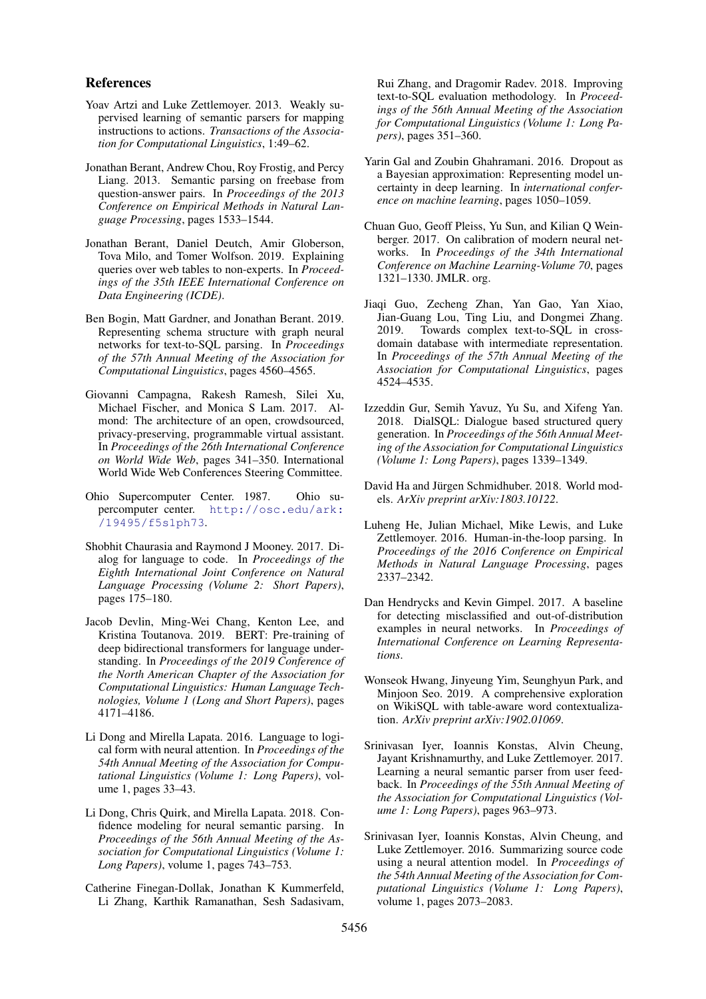#### References

- Yoav Artzi and Luke Zettlemoyer. 2013. Weakly supervised learning of semantic parsers for mapping instructions to actions. *Transactions of the Association for Computational Linguistics*, 1:49–62.
- Jonathan Berant, Andrew Chou, Roy Frostig, and Percy Liang. 2013. Semantic parsing on freebase from question-answer pairs. In *Proceedings of the 2013 Conference on Empirical Methods in Natural Language Processing*, pages 1533–1544.
- Jonathan Berant, Daniel Deutch, Amir Globerson, Tova Milo, and Tomer Wolfson. 2019. Explaining queries over web tables to non-experts. In *Proceedings of the 35th IEEE International Conference on Data Engineering (ICDE)*.
- Ben Bogin, Matt Gardner, and Jonathan Berant. 2019. Representing schema structure with graph neural networks for text-to-SQL parsing. In *Proceedings of the 57th Annual Meeting of the Association for Computational Linguistics*, pages 4560–4565.
- Giovanni Campagna, Rakesh Ramesh, Silei Xu, Michael Fischer, and Monica S Lam. 2017. Almond: The architecture of an open, crowdsourced, privacy-preserving, programmable virtual assistant. In *Proceedings of the 26th International Conference on World Wide Web*, pages 341–350. International World Wide Web Conferences Steering Committee.
- Ohio Supercomputer Center. 1987. Ohio supercomputer center. [http://osc.edu/ark:](http://osc.edu/ark:/19495/f5s1ph73) [/19495/f5s1ph73](http://osc.edu/ark:/19495/f5s1ph73).
- Shobhit Chaurasia and Raymond J Mooney. 2017. Dialog for language to code. In *Proceedings of the Eighth International Joint Conference on Natural Language Processing (Volume 2: Short Papers)*, pages 175–180.
- Jacob Devlin, Ming-Wei Chang, Kenton Lee, and Kristina Toutanova. 2019. BERT: Pre-training of deep bidirectional transformers for language understanding. In *Proceedings of the 2019 Conference of the North American Chapter of the Association for Computational Linguistics: Human Language Technologies, Volume 1 (Long and Short Papers)*, pages 4171–4186.
- Li Dong and Mirella Lapata. 2016. Language to logical form with neural attention. In *Proceedings of the 54th Annual Meeting of the Association for Computational Linguistics (Volume 1: Long Papers)*, volume 1, pages 33–43.
- Li Dong, Chris Quirk, and Mirella Lapata. 2018. Confidence modeling for neural semantic parsing. In *Proceedings of the 56th Annual Meeting of the Association for Computational Linguistics (Volume 1: Long Papers)*, volume 1, pages 743–753.
- Catherine Finegan-Dollak, Jonathan K Kummerfeld, Li Zhang, Karthik Ramanathan, Sesh Sadasivam,

Rui Zhang, and Dragomir Radev. 2018. Improving text-to-SQL evaluation methodology. In *Proceedings of the 56th Annual Meeting of the Association for Computational Linguistics (Volume 1: Long Papers)*, pages 351–360.

- Yarin Gal and Zoubin Ghahramani. 2016. Dropout as a Bayesian approximation: Representing model uncertainty in deep learning. In *international conference on machine learning*, pages 1050–1059.
- Chuan Guo, Geoff Pleiss, Yu Sun, and Kilian Q Weinberger. 2017. On calibration of modern neural networks. In *Proceedings of the 34th International Conference on Machine Learning-Volume 70*, pages 1321–1330. JMLR. org.
- Jiaqi Guo, Zecheng Zhan, Yan Gao, Yan Xiao, Jian-Guang Lou, Ting Liu, and Dongmei Zhang. 2019. Towards complex text-to-SQL in crossdomain database with intermediate representation. In *Proceedings of the 57th Annual Meeting of the Association for Computational Linguistics*, pages 4524–4535.
- Izzeddin Gur, Semih Yavuz, Yu Su, and Xifeng Yan. 2018. DialSQL: Dialogue based structured query generation. In *Proceedings of the 56th Annual Meeting of the Association for Computational Linguistics (Volume 1: Long Papers)*, pages 1339–1349.
- David Ha and Jürgen Schmidhuber. 2018. World models. *ArXiv preprint arXiv:1803.10122*.
- Luheng He, Julian Michael, Mike Lewis, and Luke Zettlemoyer. 2016. Human-in-the-loop parsing. In *Proceedings of the 2016 Conference on Empirical Methods in Natural Language Processing*, pages 2337–2342.
- Dan Hendrycks and Kevin Gimpel. 2017. A baseline for detecting misclassified and out-of-distribution examples in neural networks. In *Proceedings of International Conference on Learning Representations*.
- Wonseok Hwang, Jinyeung Yim, Seunghyun Park, and Minjoon Seo. 2019. A comprehensive exploration on WikiSQL with table-aware word contextualization. *ArXiv preprint arXiv:1902.01069*.
- Srinivasan Iyer, Ioannis Konstas, Alvin Cheung, Jayant Krishnamurthy, and Luke Zettlemoyer. 2017. Learning a neural semantic parser from user feedback. In *Proceedings of the 55th Annual Meeting of the Association for Computational Linguistics (Volume 1: Long Papers)*, pages 963–973.
- Srinivasan Iyer, Ioannis Konstas, Alvin Cheung, and Luke Zettlemoyer. 2016. Summarizing source code using a neural attention model. In *Proceedings of the 54th Annual Meeting of the Association for Computational Linguistics (Volume 1: Long Papers)*, volume 1, pages 2073–2083.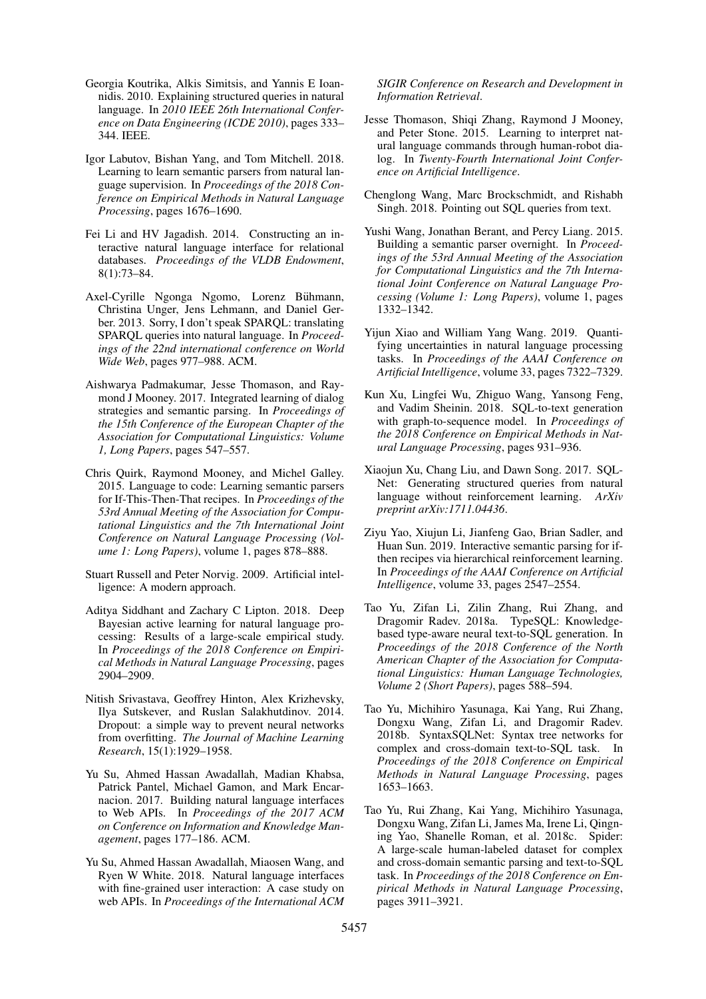- Georgia Koutrika, Alkis Simitsis, and Yannis E Ioannidis. 2010. Explaining structured queries in natural language. In *2010 IEEE 26th International Conference on Data Engineering (ICDE 2010)*, pages 333– 344. IEEE.
- Igor Labutov, Bishan Yang, and Tom Mitchell. 2018. Learning to learn semantic parsers from natural language supervision. In *Proceedings of the 2018 Conference on Empirical Methods in Natural Language Processing*, pages 1676–1690.
- Fei Li and HV Jagadish. 2014. Constructing an interactive natural language interface for relational databases. *Proceedings of the VLDB Endowment*, 8(1):73–84.
- Axel-Cyrille Ngonga Ngomo, Lorenz Bühmann, Christina Unger, Jens Lehmann, and Daniel Gerber. 2013. Sorry, I don't speak SPARQL: translating SPARQL queries into natural language. In *Proceedings of the 22nd international conference on World Wide Web*, pages 977–988. ACM.
- Aishwarya Padmakumar, Jesse Thomason, and Raymond J Mooney. 2017. Integrated learning of dialog strategies and semantic parsing. In *Proceedings of the 15th Conference of the European Chapter of the Association for Computational Linguistics: Volume 1, Long Papers*, pages 547–557.
- Chris Quirk, Raymond Mooney, and Michel Galley. 2015. Language to code: Learning semantic parsers for If-This-Then-That recipes. In *Proceedings of the 53rd Annual Meeting of the Association for Computational Linguistics and the 7th International Joint Conference on Natural Language Processing (Volume 1: Long Papers)*, volume 1, pages 878–888.
- Stuart Russell and Peter Norvig. 2009. Artificial intelligence: A modern approach.
- Aditya Siddhant and Zachary C Lipton. 2018. Deep Bayesian active learning for natural language processing: Results of a large-scale empirical study. In *Proceedings of the 2018 Conference on Empirical Methods in Natural Language Processing*, pages 2904–2909.
- Nitish Srivastava, Geoffrey Hinton, Alex Krizhevsky, Ilya Sutskever, and Ruslan Salakhutdinov. 2014. Dropout: a simple way to prevent neural networks from overfitting. *The Journal of Machine Learning Research*, 15(1):1929–1958.
- Yu Su, Ahmed Hassan Awadallah, Madian Khabsa, Patrick Pantel, Michael Gamon, and Mark Encarnacion. 2017. Building natural language interfaces to Web APIs. In *Proceedings of the 2017 ACM on Conference on Information and Knowledge Management*, pages 177–186. ACM.
- Yu Su, Ahmed Hassan Awadallah, Miaosen Wang, and Ryen W White. 2018. Natural language interfaces with fine-grained user interaction: A case study on web APIs. In *Proceedings of the International ACM*

*SIGIR Conference on Research and Development in Information Retrieval*.

- Jesse Thomason, Shiqi Zhang, Raymond J Mooney, and Peter Stone. 2015. Learning to interpret natural language commands through human-robot dialog. In *Twenty-Fourth International Joint Conference on Artificial Intelligence*.
- Chenglong Wang, Marc Brockschmidt, and Rishabh Singh. 2018. Pointing out SQL queries from text.
- Yushi Wang, Jonathan Berant, and Percy Liang. 2015. Building a semantic parser overnight. In *Proceedings of the 53rd Annual Meeting of the Association for Computational Linguistics and the 7th International Joint Conference on Natural Language Processing (Volume 1: Long Papers)*, volume 1, pages 1332–1342.
- Yijun Xiao and William Yang Wang. 2019. Quantifying uncertainties in natural language processing tasks. In *Proceedings of the AAAI Conference on Artificial Intelligence*, volume 33, pages 7322–7329.
- Kun Xu, Lingfei Wu, Zhiguo Wang, Yansong Feng, and Vadim Sheinin. 2018. SQL-to-text generation with graph-to-sequence model. In *Proceedings of the 2018 Conference on Empirical Methods in Natural Language Processing*, pages 931–936.
- Xiaojun Xu, Chang Liu, and Dawn Song. 2017. SQL-Net: Generating structured queries from natural language without reinforcement learning. *ArXiv preprint arXiv:1711.04436*.
- Ziyu Yao, Xiujun Li, Jianfeng Gao, Brian Sadler, and Huan Sun. 2019. Interactive semantic parsing for ifthen recipes via hierarchical reinforcement learning. In *Proceedings of the AAAI Conference on Artificial Intelligence*, volume 33, pages 2547–2554.
- Tao Yu, Zifan Li, Zilin Zhang, Rui Zhang, and Dragomir Radev. 2018a. TypeSQL: Knowledgebased type-aware neural text-to-SQL generation. In *Proceedings of the 2018 Conference of the North American Chapter of the Association for Computational Linguistics: Human Language Technologies, Volume 2 (Short Papers)*, pages 588–594.
- Tao Yu, Michihiro Yasunaga, Kai Yang, Rui Zhang, Dongxu Wang, Zifan Li, and Dragomir Radev. 2018b. SyntaxSQLNet: Syntax tree networks for complex and cross-domain text-to-SQL task. In *Proceedings of the 2018 Conference on Empirical Methods in Natural Language Processing*, pages 1653–1663.
- Tao Yu, Rui Zhang, Kai Yang, Michihiro Yasunaga, Dongxu Wang, Zifan Li, James Ma, Irene Li, Qingning Yao, Shanelle Roman, et al. 2018c. Spider: A large-scale human-labeled dataset for complex and cross-domain semantic parsing and text-to-SQL task. In *Proceedings of the 2018 Conference on Empirical Methods in Natural Language Processing*, pages 3911–3921.